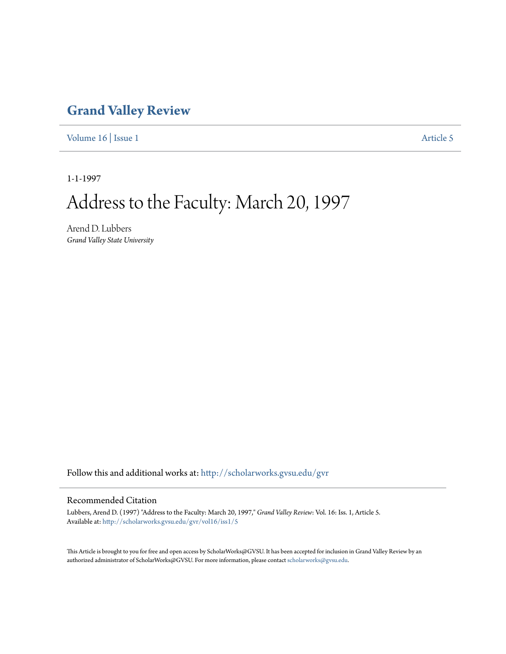## **[Grand Valley Review](http://scholarworks.gvsu.edu/gvr?utm_source=scholarworks.gvsu.edu%2Fgvr%2Fvol16%2Fiss1%2F5&utm_medium=PDF&utm_campaign=PDFCoverPages)**

[Volume 16](http://scholarworks.gvsu.edu/gvr/vol16?utm_source=scholarworks.gvsu.edu%2Fgvr%2Fvol16%2Fiss1%2F5&utm_medium=PDF&utm_campaign=PDFCoverPages) | [Issue 1](http://scholarworks.gvsu.edu/gvr/vol16/iss1?utm_source=scholarworks.gvsu.edu%2Fgvr%2Fvol16%2Fiss1%2F5&utm_medium=PDF&utm_campaign=PDFCoverPages) [Article 5](http://scholarworks.gvsu.edu/gvr/vol16/iss1/5?utm_source=scholarworks.gvsu.edu%2Fgvr%2Fvol16%2Fiss1%2F5&utm_medium=PDF&utm_campaign=PDFCoverPages)

1-1-1997

# Address to the Faculty: March 20, 1997

Arend D. Lubbers *Grand Valley State University*

Follow this and additional works at: [http://scholarworks.gvsu.edu/gvr](http://scholarworks.gvsu.edu/gvr?utm_source=scholarworks.gvsu.edu%2Fgvr%2Fvol16%2Fiss1%2F5&utm_medium=PDF&utm_campaign=PDFCoverPages)

### Recommended Citation

Lubbers, Arend D. (1997) "Address to the Faculty: March 20, 1997," *Grand Valley Review*: Vol. 16: Iss. 1, Article 5. Available at: [http://scholarworks.gvsu.edu/gvr/vol16/iss1/5](http://scholarworks.gvsu.edu/gvr/vol16/iss1/5?utm_source=scholarworks.gvsu.edu%2Fgvr%2Fvol16%2Fiss1%2F5&utm_medium=PDF&utm_campaign=PDFCoverPages)

This Article is brought to you for free and open access by ScholarWorks@GVSU. It has been accepted for inclusion in Grand Valley Review by an authorized administrator of ScholarWorks@GVSU. For more information, please contact [scholarworks@gvsu.edu.](mailto:scholarworks@gvsu.edu)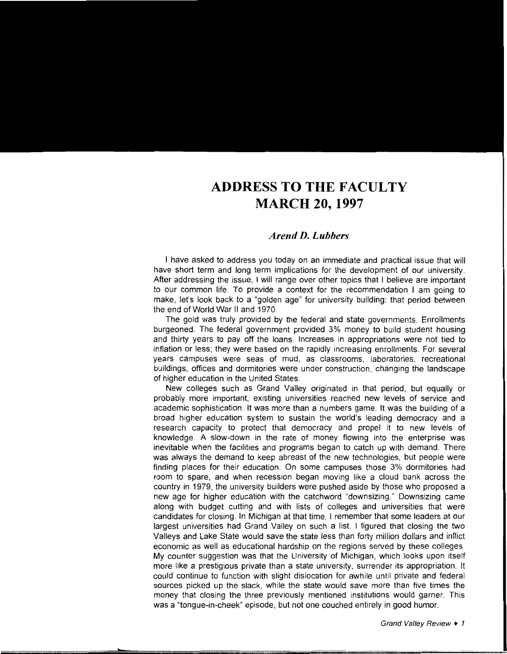## **ADDRESSTOTHEFACULTY MARCH 20, 1997**

#### *Arend D. Lubbers*

I have asked to address you today on an immediate and practical issue that will have short term and long term implications for the development of our university. After addressing the issue, I will range over other topics that I believe are important to our common life. To provide a context for the recommendation I am going to make, let's look back to a "golden age" for university building: that period between the end of World War II and 1970.

The gold was truly provided by the federal and state governments. Enrollments burgeoned. The federal government provided 3% money to build student housing and thirty years to pay off the loans. Increases in appropriations were not tied to inflation or less; they were based on the rapidly increasing enrollments. For several years campuses were seas of mud, as classrooms, laboratories. recreational buildings, offices and dormitories were under construction, changing the landscape of higher education in the United States.

New colleges such as Grand Valley originated in that period, but equally or probably more important, existing universities reached new levels of service and academic sophistication. It was more than a numbers game. It was the building of a broad higher education system to sustain the world's leading democracy and a research capacity to protect that democracy and propel it to new levels of knowledge. A slow-down in the rate of money flowing into the enterprise was inevitable when the facilities and programs began to catch up with demand. There was always the demand to keep abreast of the new technologies, but people were finding places for their education. On some campuses those 3% dormitories had room to spare, and when recession began moving like a cloud bank across the country in 1979, the university builders were pushed aside by those who proposed a new age for higher education with the catchword "downsizing." Downsizing came along with budget cutting and with lists of colleges and universities that were candidates for closing. In Michigan at that time, I remember that some leaders at our largest universities had Grand Valley on such a list. I figured that closing the two Valleys and Lake State would save the state less than forty million dollars and inflict economic as well as educational hardship on the regions served by these colleges. My counter suggestion was that the University of Michigan, which looks upon itself more like a prestigious private than a state university, surrender its appropriation. It could continue to function with slight dislocation for awhile until private and federal sources picked up the slack, while the state would save more than five times the money that closing the three previously mentioned institutions would garner. This was a "tongue-in-cheek" episode, but not one couched entirely in good humor.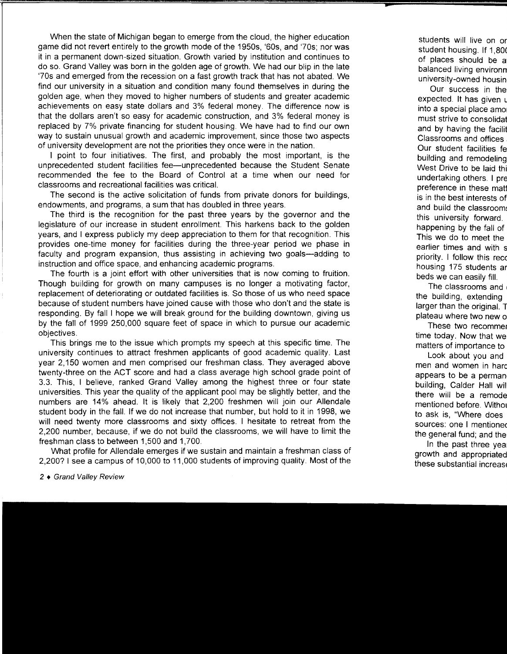When the state of Michigan began to emerge from the cloud, the higher education game did not revert entirely to the growth mode of the 1950s, '60s, and '70s; nor was it in a permanent down-sized situation. Growth varied by institution and continues to do so. Grand Valley was born in the golden age of growth. We had our blip in the late '70s and emerged from the recession on a fast growth track that has not abated. We find our university in a situation and condition many found themselves in during the golden age, when they moved to higher numbers of students and greater academic achievements on easy state dollars and 3% federal money. The difference now is that the dollars aren't so easy for academic construction, and 3% federal money is replaced by 7% private financing for student housing. We have had to find our own way to sustain unusual growth and academic improvement, since those two aspects of university development are not the priorities they once were in the nation.

1 point to four initiatives. The first, and probably the most important, is the unprecedented student facilities fee-unprecedented because the Student Senate recommended the fee to the Board of Control at a time when our need for classrooms and recreational facilities was critical.

The second is the active solicitation of funds from private donors for buildings, endowments, and programs, a sum that has doubled in three years.

The third is the recognition for the past three years by the governor and the legislature of our increase in student enrollment. This harkens back to the golden years, and 1 express publicly my deep appreciation to them for that recognition. This provides one-time money for facilities during the three-year period we phase in faculty and program expansion, thus assisting in achieving two goals-adding to instruction and office space, and enhancing academic programs.

The fourth is a joint effort with other universities that is now coming to fruition. Though building for growth on many campuses is no longer a motivating factor, replacement of deteriorating or outdated facilities is. So those of us who need space because of student numbers have joined cause with those who don't and the state is responding. By fall I hope we will break ground for the building downtown, giving us by the fall of 1999 250,000 square feet of space in which to pursue our academic objectives.

This brings me to the issue which prompts my speech at this specific time. The university continues to attract freshmen applicants of good academic quality. Last year 2,150 women and men comprised our freshman class. They averaged above twenty-three on the ACT score and had a class average high school grade point of 3.3. This, 1 believe, ranked Grand Valley among the highest three or four state universities. This year the quality of the applicant pool may be slightly better, and the numbers are 14% ahead. It is likely that 2,200 freshmen will join our Allendale student body in the fall. If we do not increase that number, but hold to it in 1998, we will need twenty more classrooms and sixty offices. I hesitate to retreat from the 2,200 number, because, if we do not build the classrooms, we will have to limit the freshman class to between 1 ,500 and 1, 700.

What profile for Allendale emerges if we sustain and maintain a freshman class of 2,200? 1 see a campus of 10,000 to 11,000 students of improving quality. Most of the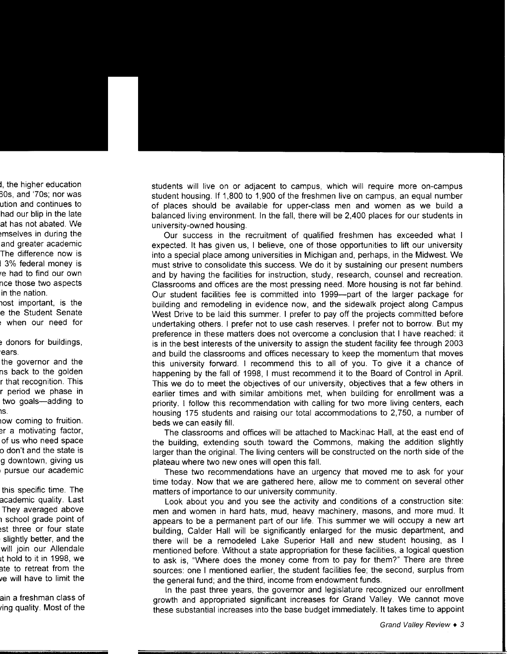students will live on or adjacent to campus, which will require more on-campus student housing. If 1,800 to 1,900 of the freshmen live on campus, an equal number of places should be available for upper-class men and women as we build a balanced living environment. In the fall, there will be 2,400 places for our students in university-owned housing.

Our success in the recruitment of qualified freshmen has exceeded what I expected. It has given us, I believe, one of those opportunities to lift our university into a special place among universities in Michigan and, perhaps, in the Midwest. We must strive to consolidate this success. We do it by sustaining our present numbers and by having the facilities for instruction, study, research, counsel and recreation. Classrooms and offices are the most pressing need. More housing is not far behind. Our student facilities fee is committed into 1999-part of the larger package for building and remodeling in evidence now, and the sidewalk project along Campus West Drive to be laid this summer. I prefer to pay off the projects committed before undertaking others. I prefer not to use cash reserves. I prefer not to borrow. But my preference in these matters does not overcome a conclusion that I have reached: it is in the best interests of the university to assign the student facility fee through 2003 and build the classrooms and offices necessary to keep the momentum that moves this university forward. I recommend this to all of you. To give it a chance of happening by the fall of 1998, I must recommend it to the Board of Control in April. This we do to meet the objectives of our university, objectives that a few others in earlier times and with similar ambitions met, when building for enrollment was a priority. I follow this recommendation with calling for two more living centers, each housing 175 students and raising our total accommodations to 2,750, a number of beds we can easily fill.

The classrooms and offices will be attached to Mackinac Hall, at the east end of the building, extending south toward the Commons, making the addition slightly larger than the original. The living centers will be constructed on the north side of the plateau where two new ones will open this fall.

These two recommendations have an urgency that moved me to ask for your time today. Now that we are gathered here, allow me to comment on several other matters of importance to our university community.

Look about you and you see the activity and conditions of a construction site: men and women in hard hats, mud, heavy machinery, masons, and more mud. It appears to be a permanent part of our life. This summer we will occupy a new art building, Calder Hall will be significantly enlarged for the music department, and there will be a remodeled Lake Superior Hall and new student housing, as I mentioned before. Without a state appropriation for these facilities, a logical question to ask is, "Where does the money come from to pay for them?" There are three sources: one I mentioned earlier, the student facilities fee; the second, surplus from the general fund; and the third, income from endowment funds.

In the past three years, the governor and legislature recognized our enrollment growth and appropriated significant increases for Grand Valley. We cannot move these substantial increases into the base budget immediately. It takes time to appoint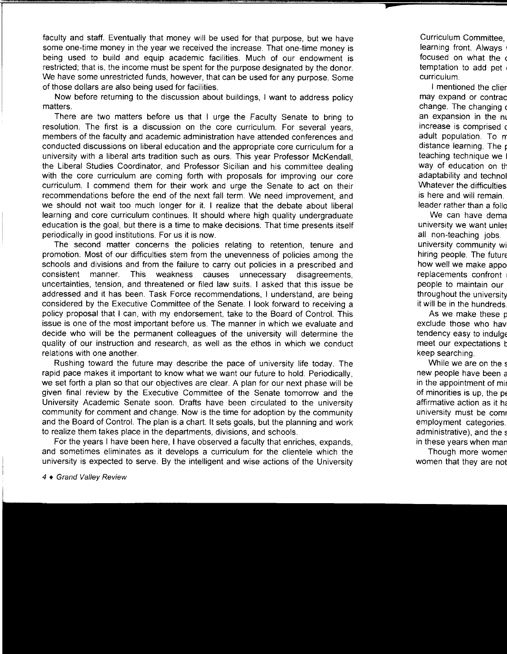faculty and staff. Eventually that money will be used for that purpose, but we have some one-time money in the year we received the increase. That one-time money is being used to build and equip academic facilities. Much of our endowment is restricted; that is, the income must be spent for the purpose designated by the donor. We have some unrestricted funds, however, that can be used for any purpose. Some of those dollars are also being used for facilities.

Now before returning to the discussion about buildings, I want to address policy matters.

There are two matters before us that I urge the Faculty Senate to bring to resolution. The first is a discussion on the core curriculum. For several years, members of the faculty and academic administration have attended conferences and conducted discussions on liberal education and the appropriate core curriculum for a university with a liberal arts tradition such as ours. This year Professor McKendall, the Liberal Studies Coordinator, and Professor Sicilian and his committee dealing with the core curriculum are coming forth with proposals for improving our core curriculum. I commend them for their work and urge the Senate to act on their recommendations before the end of the next fall term. We need improvement, and we should not wait too much longer for it. I realize that the debate about liberal learning and core curriculum continues. It should where high quality undergraduate education is the goal, but there is a time to make decisions. That time presents itself periodically in good institutions. For us it is now.

The second matter concerns the policies relating to retention, tenure and promotion. Most of our difficulties stem from the unevenness of policies among the schools and divisions and from the failure to carry out policies in a prescribed and consistent manner. This weakness causes unnecessary disagreements, uncertainties, tension, and threatened or filed law suits. I asked that this issue be addressed and it has been. Task Force recommendations, I understand, are being considered by the Executive Committee of the Senate. I look forward to receiving a policy proposal that I can, with my endorsement, take to the Board of Control. This issue is one of the most important before us. The manner in which we evaluate and decide who will be the permanent colleagues of the university will determine the quality of our instruction and research, as well as the ethos in which we conduct relations with one another.

Rushing toward the future may describe the pace of university life today. The rapid pace makes it important to know what we want our future to hold. Periodically, we set forth a plan so that our objectives are clear. A plan for our next phase will be given final review by the Executive Committee of the Senate tomorrow and the University Academic Senate soon. Drafts have been circulated to the university community for comment and change. Now is the time for adoption by the community and the Board of Control. The plan is a chart. It sets goals, but the planning and work to realize them takes place in the departments, divisions, and schools.

For the years I have been here, I have observed a faculty that enriches, expands, and sometimes eliminates as it develops a curriculum for the clientele which the university is expected to serve. By the intelligent and wise actions of the University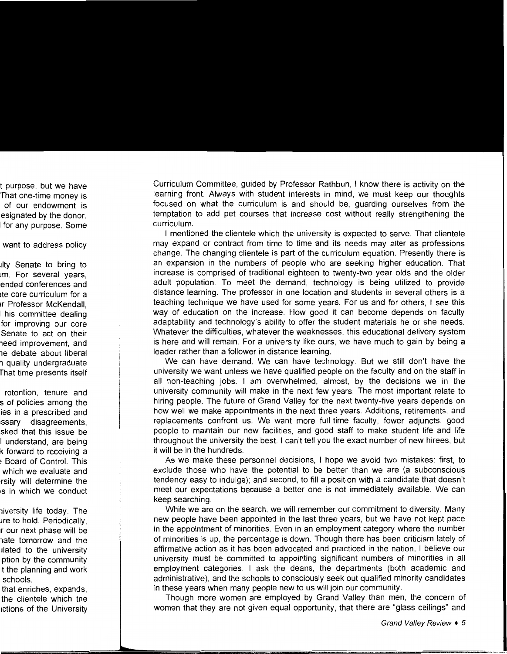Curriculum Committee, guided by Professor Rathbun, I know there is activity on the learning front. Always with student interests in mind, we must keep our thoughts focused on what the curriculum is and should be, guarding ourselves from the temptation to add pet courses that increase cost without really strengthening the curriculum.

I mentioned the clientele which the university is expected to serve. That clientele may expand or contract from time to time and its needs may alter as professions change. The changing clientele is part of the curriculum equation. Presently there is an expansion in the numbers of people who are seeking higher education. That increase is comprised of traditional eighteen to twenty-two year olds and the older adult population. To meet the demand, technology is being utilized to provide distance learning. The professor in one location and students in several others is a teaching technique we have used for some years. For us and for others, I see this way of education on the increase. How good it can become depends on faculty adaptability and technology's ability to offer the student materials he or she needs. Whatever the difficulties, whatever the weaknesses, this educational delivery system is here and will remain. For a university like ours, we have much to gain by being a leader rather than a follower in distance learning.

We can have demand. We can have technology. But we still don't have the university we want unless we have qualified people on the faculty and on the staff in all non-teaching jobs. I am overwhelmed, almost, by the decisions we in the university community will make in the next few years. The most important relate to hiring people. The future of Grand Valley for the next twenty-five years depends on how well we make appointments in the next three years. Additions, retirements, and replacements confront us. We want more full-time faculty, fewer adjuncts, good people to maintain our new facilities, and good staff to make student life and life throughout the university the best. I can't tell you the exact number of new hirees, but it will be in the hundreds.

As we make these personnel decisions, I hope we avoid two mistakes: first, to exclude those who have the potential to be better than we are (a subconscious tendency easy to indulge); and second, to fill a position with a candidate that doesn't meet our expectations because a better one is not immediately available. We can keep searching.

While we are on the search, we will remember our commitment to diversity. Many new people have been appointed in the last three years, but we have not kept pace in the appointment of minorities. Even in an employment category where the number of minorities is up, the percentage is down. Though there has been criticism lately of affirmative action as it has been advocated and practiced in the nation, I believe our university must be committed to appointing significant numbers of minorities in all employment categories. I ask the deans, the departments (both academic and administrative), and the schools to consciously seek out qualified minority candidates in these years when many people new to us will join our community.

Though more women are employed by Grand Valley than men, the concern of women that they are not given equal opportunity, that there are "glass ceilings" and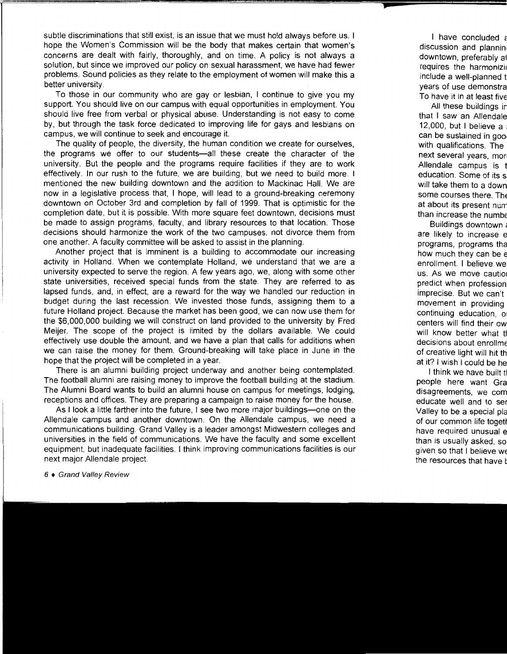subtle discriminations that still exist, is an issue that we must hold always before us. I hope the Women's Commission will be the body that makes certain that women's concerns are dealt with fairly, thoroughly, and on time. A policy is not always a solution, but since we improved our policy on sexual harassment, we have had fewer problems. Sound policies as they relate to the employment of women will make this a better university.

To those in our community who are gay or lesbian, I continue to give you my support. You should live on our campus with equal opportunities in employment. You should live free from verbal or physical abuse. Understanding is not easy to come by, but through the task force dedicated to improving life for gays and lesbians on campus, we will continue to seek and encourage it.

The quality of people, the diversity, the human condition we create for ourselves, the programs we offer to our students—all these create the character of the university. But the people and the programs require facilities if they are to work effectively. In our rush to the future, we are building, but we need to build more. I mentioned the new building downtown and the addition to Mackinac Hall. We are now in a legislative process that, I hope, will lead to a ground-breaking ceremony downtown on October 3rd and completion by fall of 1999. That is optimistic for the completion date, but it is possible. With more square feet downtown, decisions must be made to assign programs, faculty, and library resources to that location. Those decisions should harmonize the work of the two campuses, not divorce them from one another. A faculty committee will be asked to assist in the planning.

Another project that is imminent is a building to accommodate our increasing activity in Holland. When we contemplate Holland, we understand that we are a university expected to serve the region. A few years ago, we, along with some other state universities, received special funds from the state. They are referred to as lapsed funds, and, in effect, are a reward for the way we handled our reduction in budget during the last recession. We invested those funds, assigning them to a future Holland project. Because the market has been good, we can now use them for the \$6,000,000 building we will construct on land provided to the university by Fred Meijer. The scope of the project is limited by the dollars available. We could effectively use double the amount, and we have a plan that calls for additions when we can raise the money for them. Ground-breaking will take place in June in the hope that the project will be completed in a year.

There is an alumni building project underway and another being contemplated. The football alumni are raising money to improve the football building at the stadium. The Alumni Board wants to build an alumni house on campus for meetings, lodging, receptions and offices. They are preparing a campaign to raise money for the house.

As I look a little farther into the future, I see two more major buildings-one on the Allendale campus and another downtown. On the Allendale campus, we need a communications building. Grand Valley is a leader amongst Midwestern colleges and universities in the field of communications. We have the faculty and some excellent equipment, but inadequate facilities. I think improving communications facilities is our next major Allendale project.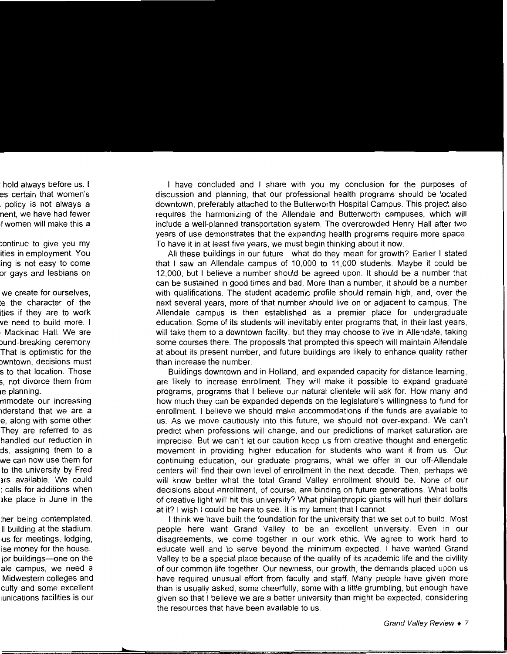I have concluded and I share with you my conclusion for the purposes of discussion and planning, that our professional health programs should be located downtown, preferably attached to the Butterworth Hospital Campus. This project also requires the harmonizing of the Allendale and Butterworth campuses, which will include a well-planned transportation system. The overcrowded Henry Hall after two years of use demonstrates that the expanding health programs require more space. To have it in at least five years, we must begin thinking about it now.

All these buildings in our future-what do they mean for growth? Earlier I stated that I saw an Allendale campus of 10,000 to 11,000 students. Maybe it could be 12,000, but I believe a number should be agreed upon. It should be a number that can be sustained in good times and bad. More than a number, it should be a number with qualifications. The student academic profile should remain high, and, over the next several years, more of that number should live on or adjacent to campus. The Allendale campus is then established as a premier place for undergraduate education. Some of its students will inevitably enter programs that, in their last years, will take them to a downtown facility, but they may choose to live in Allendale, taking some courses there. The proposals that prompted this speech will maintain Allendale at about its present number, and future buildings are likely to enhance quality rather than increase the number.

Buildings downtown and in Holland, and expanded capacity for distance learning, are likely to increase enrollment. They will make it possible to expand graduate programs, programs that I believe our natural clientele will ask for. How many and how much they can be expanded depends on the legislature's willingness to fund for enrollment. I believe we should make accommodations if the funds are available to us. As we move cautiously into this future, we should not over-expand. We can't predict when professions will change, and our predictions of market saturation are imprecise. But we can't let our caution keep us from creative thought and energetic movement in providing higher education for students who want it from us. Our continuing education, our graduate programs, what we offer in our off-Allendale centers will find their own level of enrollment in the next decade. Then, perhaps we will know better what the total Grand Valley enrollment should be. None of our decisions about enrollment, of course, are binding on future generations. What bolts of creative light will hit this university? What philanthropic giants will hurl their dollars at it? I wish I could be here to see. It is my lament that I cannot.

I think we have built the foundation for the university that we set out to build. Most people here want Grand Valley to be an excellent university. Even in our disagreements, we come together in our work ethic. We agree to work hard to educate well and to serve beyond the minimum expected. I have wanted Grand Valley to be a special place because of the quality of its academic life and the civility of our common life together. Our newness, our growth, the demands placed upon us have required unusual effort from faculty and staff. Many people have given more than is usually asked, some cheerfully, some with a little grumbling, but enough have given so that I believe we are a better university than might be expected, considering the resources that have been available to us.